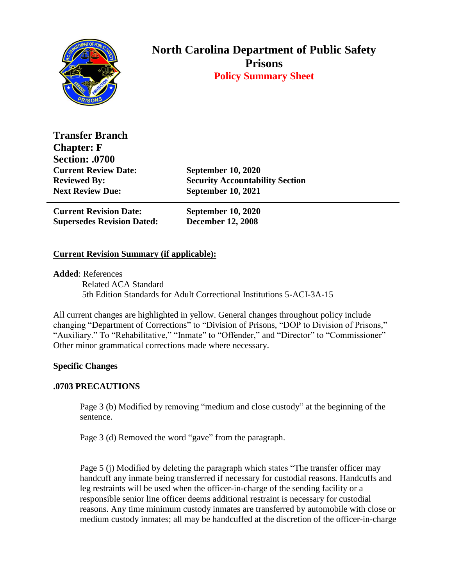

## **North Carolina Department of Public Safety Prisons Policy Summary Sheet**

**Transfer Branch Chapter: F Section: .0700 Current Review Date: September 10, 2020 Next Review Due: September 10, 2021**

**Reviewed By: Security Accountability Section**

**Current Revision Date: September 10, 2020 Supersedes Revision Dated: December 12, 2008**

## **Current Revision Summary (if applicable):**

**Added**: References Related ACA Standard 5th Edition Standards for Adult Correctional Institutions 5-ACI-3A-15

All current changes are highlighted in yellow. General changes throughout policy include changing "Department of Corrections" to "Division of Prisons, "DOP to Division of Prisons," "Auxiliary." To "Rehabilitative," "Inmate" to "Offender," and "Director" to "Commissioner" Other minor grammatical corrections made where necessary.

## **Specific Changes**

## **.0703 PRECAUTIONS**

Page 3 (b) Modified by removing "medium and close custody" at the beginning of the sentence.

Page 3 (d) Removed the word "gave" from the paragraph.

Page 5 (j) Modified by deleting the paragraph which states "The transfer officer may handcuff any inmate being transferred if necessary for custodial reasons. Handcuffs and leg restraints will be used when the officer-in-charge of the sending facility or a responsible senior line officer deems additional restraint is necessary for custodial reasons. Any time minimum custody inmates are transferred by automobile with close or medium custody inmates; all may be handcuffed at the discretion of the officer-in-charge